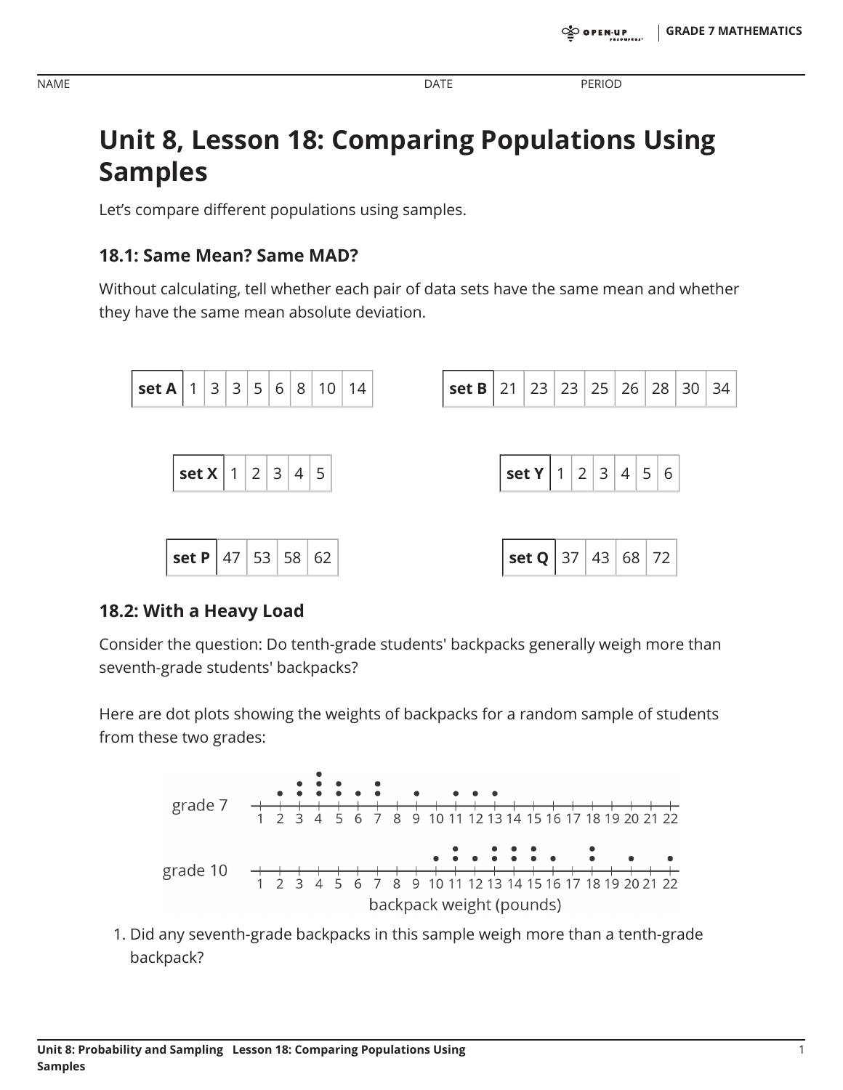**PERIOD** 

# **Unit 8, Lesson 18: Comparing Populations Using Samples**

Let's compare different populations using samples.

### 18.1: Same Mean? Same MAD?

Without calculating, tell whether each pair of data sets have the same mean and whether they have the same mean absolute deviation.



#### 18.2: With a Heavy Load

Consider the question: Do tenth-grade students' backpacks generally weigh more than seventh-grade students' backpacks?

Here are dot plots showing the weights of backpacks for a random sample of students from these two grades:



1. Did any seventh-grade backpacks in this sample weigh more than a tenth-grade backpack?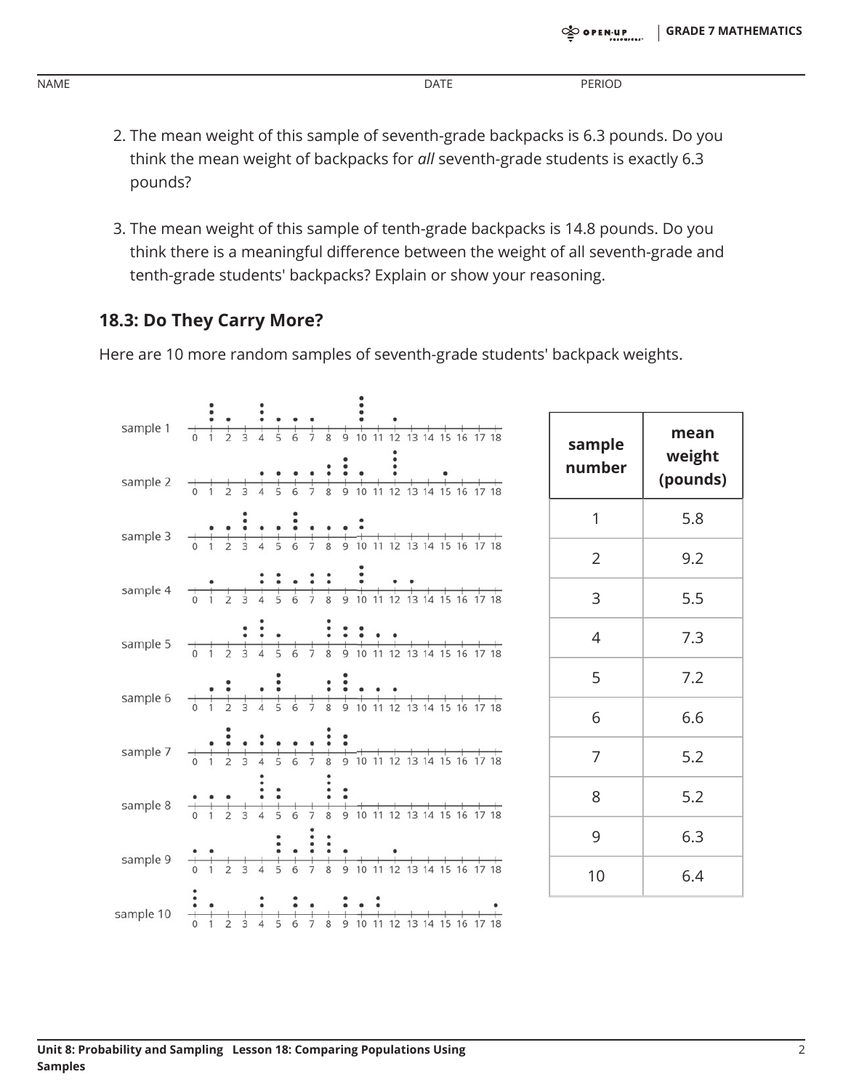|      | <b>DATE</b> | <b>DERIOD</b> |
|------|-------------|---------------|
| NAME | $  -$       |               |

- 2. The mean weight of this sample of seventh-grade backpacks is 6.3 pounds. Do you think the mean weight of backpacks for all seventh-grade students is exactly 6.3 pounds?
- 3. The mean weight of this sample of tenth-grade backpacks is 14.8 pounds. Do you think there is a meaningful difference between the weight of all seventh-grade and tenth-grade students' backpacks? Explain or show your reasoning.

#### 18.3: Do They Carry More?

Here are 10 more random samples of seventh-grade students' backpack weights.

| sample 1  |                                                                                                                                                                                                                                                                               | sample         | mean               |  |
|-----------|-------------------------------------------------------------------------------------------------------------------------------------------------------------------------------------------------------------------------------------------------------------------------------|----------------|--------------------|--|
| sample 2  |                                                                                                                                                                                                                                                                               | number         | weight<br>(pounds) |  |
| sample 3  |                                                                                                                                                                                                                                                                               | 1              | 5.8                |  |
|           |                                                                                                                                                                                                                                                                               | $\overline{2}$ | 9.2                |  |
|           | sample 4 $\frac{1}{0}$ $\frac{1}{2}$ $\frac{1}{3}$ $\frac{1}{4}$ $\frac{1}{5}$ $\frac{1}{6}$ $\frac{1}{7}$ $\frac{1}{8}$ $\frac{1}{9}$ $\frac{1}{10}$ $\frac{1}{11}$ $\frac{1}{12}$ $\frac{1}{13}$ $\frac{1}{14}$ $\frac{1}{15}$ $\frac{1}{16}$ $\frac{1}{17}$ $\frac{1}{18}$ | 3              | 5.5                |  |
| sample 5  |                                                                                                                                                                                                                                                                               | $\overline{4}$ | 7.3                |  |
| sample 6  |                                                                                                                                                                                                                                                                               | 5              | 7.2                |  |
|           |                                                                                                                                                                                                                                                                               | 6              | 6.6                |  |
| sample 7  |                                                                                                                                                                                                                                                                               | $\overline{7}$ | 5.2                |  |
| sample 8  |                                                                                                                                                                                                                                                                               | 8              | 5.2                |  |
|           |                                                                                                                                                                                                                                                                               | 9              | 6.3                |  |
| sample 9  | $\frac{•}{•}$                                                                                                                                                                                                                                                                 | 10             | 6.4                |  |
| sample 10 |                                                                                                                                                                                                                                                                               |                |                    |  |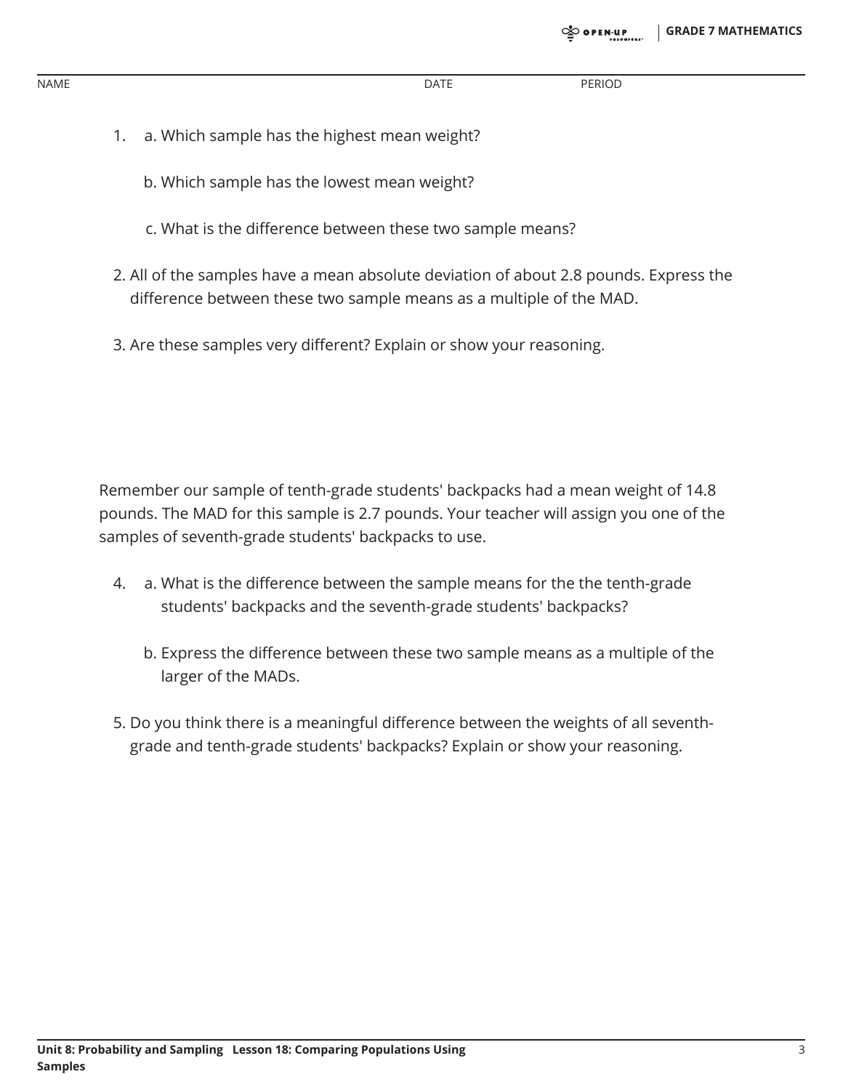NAME DATE PERIOD

- 1. a. Which sample has the highest mean weight?
	- b. Which sample has the lowest mean weight?
	- c. What is the difference between these two sample means?
- 2. All of the samples have a mean absolute deviation of about 2.8 pounds. Express the difference between these two sample means as a multiple of the MAD.
- 3. Are these samples very different? Explain or show your reasoning.

Remember our sample of tenth-grade students' backpacks had a mean weight of 14.8 pounds. The MAD for this sample is 2.7 pounds. Your teacher will assign you one of the samples of seventh-grade students' backpacks to use.

- 4. a. What is the difference between the sample means for the the tenth-grade students' backpacks and the seventh-grade students' backpacks?
	- b. Express the difference between these two sample means as a multiple of the larger of the MADs.
- 5. Do you think there is a meaningful difference between the weights of all seventhgrade and tenth-grade students' backpacks? Explain or show your reasoning.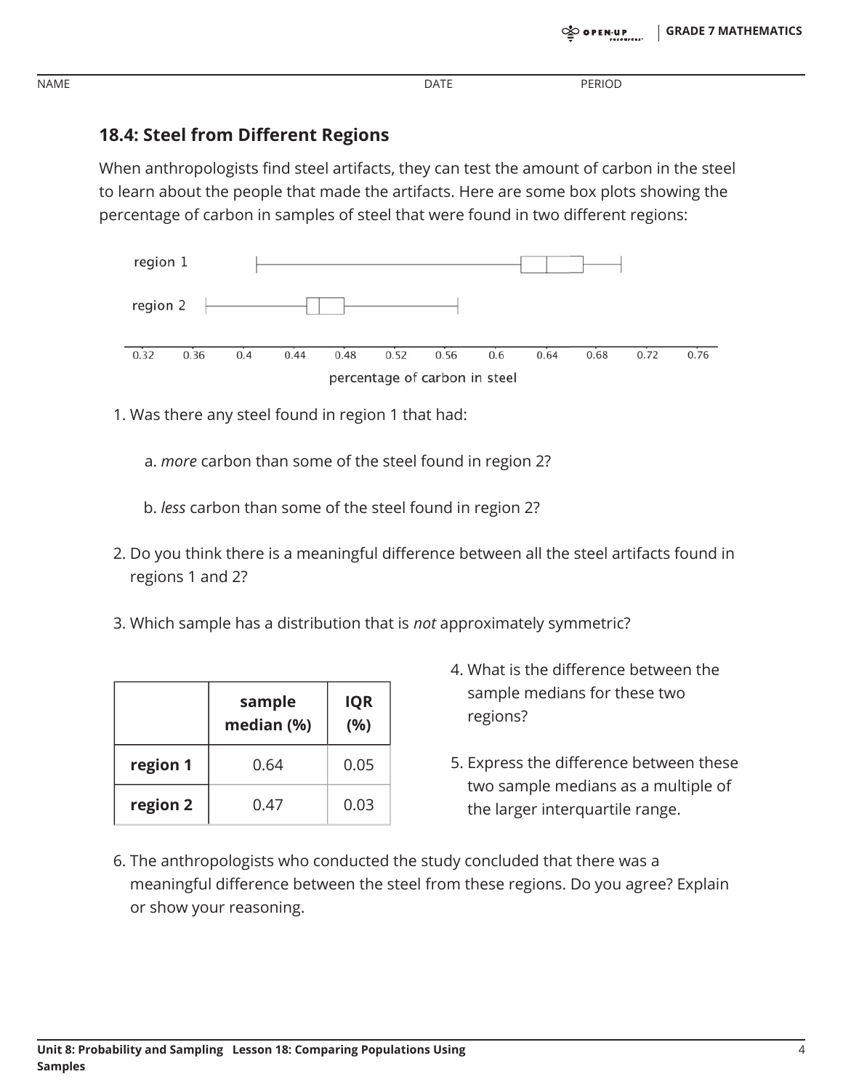**PERIOD** 

### **18.4: Steel from Different Regions**

**NAME** 

When anthropologists find steel artifacts, they can test the amount of carbon in the steel to learn about the people that made the artifacts. Here are some box plots showing the percentage of carbon in samples of steel that were found in two different regions:



1. Was there any steel found in region 1 that had:

a. more carbon than some of the steel found in region 2?

- b. less carbon than some of the steel found in region 2?
- 2. Do you think there is a meaningful difference between all the steel artifacts found in regions 1 and 2?
- 3. Which sample has a distribution that is *not* approximately symmetric?

| sample<br>median (%) |      | <b>IQR</b><br>(%) |
|----------------------|------|-------------------|
| region 1             | 0.64 | 0.05              |
| region 2             | 0.47 | 0.03              |

- 4. What is the difference between the sample medians for these two regions?
- 5. Express the difference between these two sample medians as a multiple of the larger interquartile range.
- 6. The anthropologists who conducted the study concluded that there was a meaningful difference between the steel from these regions. Do you agree? Explain or show your reasoning.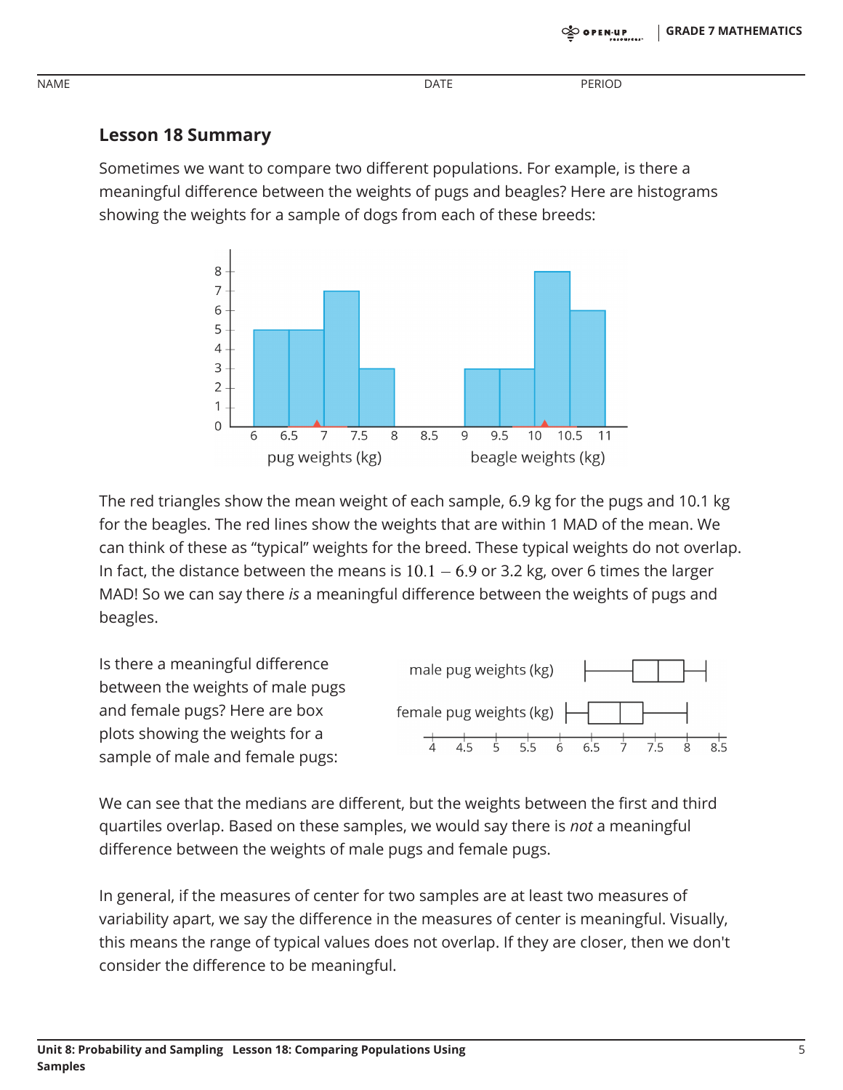**PERIOD** 

### **Lesson 18 Summary**

**NAME** 

Sometimes we want to compare two different populations. For example, is there a meaningful difference between the weights of pugs and beagles? Here are histograms showing the weights for a sample of dogs from each of these breeds:



The red triangles show the mean weight of each sample, 6.9 kg for the pugs and 10.1 kg for the beagles. The red lines show the weights that are within 1 MAD of the mean. We can think of these as "typical" weights for the breed. These typical weights do not overlap. In fact, the distance between the means is  $10.1 - 6.9$  or 3.2 kg, over 6 times the larger MAD! So we can say there is a meaningful difference between the weights of pugs and beagles.

Is there a meaningful difference between the weights of male pugs and female pugs? Here are box plots showing the weights for a sample of male and female pugs:



We can see that the medians are different, but the weights between the first and third quartiles overlap. Based on these samples, we would say there is not a meaningful difference between the weights of male pugs and female pugs.

In general, if the measures of center for two samples are at least two measures of variability apart, we say the difference in the measures of center is meaningful. Visually, this means the range of typical values does not overlap. If they are closer, then we don't consider the difference to be meaningful.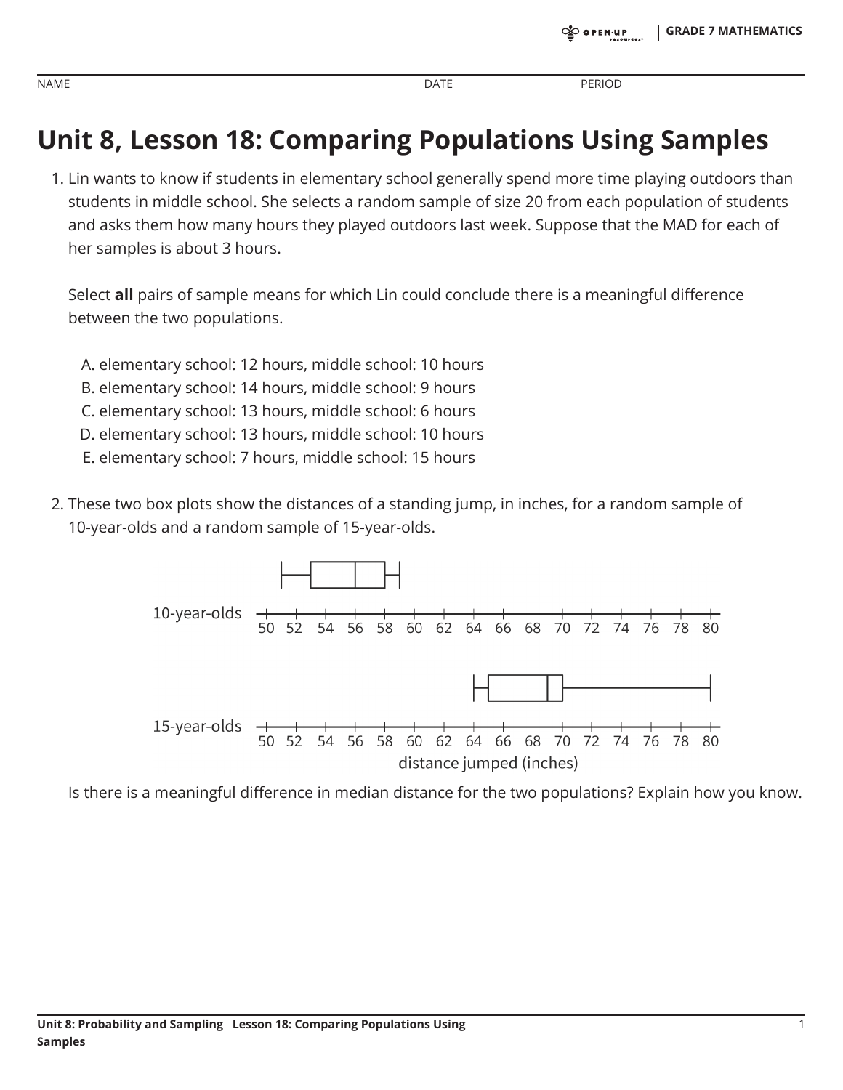**PERIOD** 

# **Unit 8, Lesson 18: Comparing Populations Using Samples**

1. Lin wants to know if students in elementary school generally spend more time playing outdoors than students in middle school. She selects a random sample of size 20 from each population of students and asks them how many hours they played outdoors last week. Suppose that the MAD for each of her samples is about 3 hours.

Select all pairs of sample means for which Lin could conclude there is a meaningful difference between the two populations.

- A. elementary school: 12 hours, middle school: 10 hours
- B. elementary school: 14 hours, middle school: 9 hours
- C. elementary school: 13 hours, middle school: 6 hours
- D. elementary school: 13 hours, middle school: 10 hours
- E. elementary school: 7 hours, middle school: 15 hours
- 2. These two box plots show the distances of a standing jump, in inches, for a random sample of 10-year-olds and a random sample of 15-year-olds.



Is there is a meaningful difference in median distance for the two populations? Explain how you know.